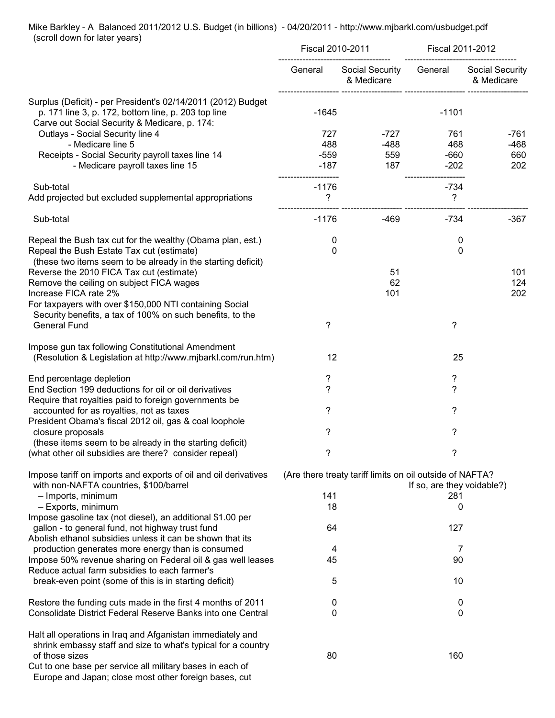## Mike Barkley - A Balanced 2011/2012 U.S. Budget (in billions) - 04/20/2011 - http://www.mjbarkl.com/usbudget.pdf (scroll down for later years)

|                                                                                                                                                                      | <b>Fiscal 2010-2011</b> |                                                          | Fiscal 2011-2012           |                                      |
|----------------------------------------------------------------------------------------------------------------------------------------------------------------------|-------------------------|----------------------------------------------------------|----------------------------|--------------------------------------|
|                                                                                                                                                                      | General                 | Social Security<br>& Medicare                            | General                    | <b>Social Security</b><br>& Medicare |
| Surplus (Deficit) - per President's 02/14/2011 (2012) Budget<br>p. 171 line 3, p. 172, bottom line, p. 203 top line<br>Carve out Social Security & Medicare, p. 174: | $-1645$                 |                                                          | $-1101$                    |                                      |
| Outlays - Social Security line 4                                                                                                                                     | 727                     | -727                                                     | 761                        | -761                                 |
| - Medicare line 5                                                                                                                                                    | 488                     | $-488$                                                   | 468                        | $-468$                               |
| Receipts - Social Security payroll taxes line 14<br>- Medicare payroll taxes line 15                                                                                 | $-559$<br>$-187$        | 559<br>187                                               | $-660$<br>$-202$           | 660<br>202                           |
| Sub-total                                                                                                                                                            | $-1176$                 |                                                          | $-734$                     |                                      |
| Add projected but excluded supplemental appropriations                                                                                                               | ?                       |                                                          | ?                          |                                      |
| Sub-total                                                                                                                                                            | $-1176$                 | $-469$                                                   | $-734$                     | $-367$                               |
| Repeal the Bush tax cut for the wealthy (Obama plan, est.)                                                                                                           | 0                       |                                                          | 0                          |                                      |
| Repeal the Bush Estate Tax cut (estimate)                                                                                                                            | 0                       |                                                          | 0                          |                                      |
| (these two items seem to be already in the starting deficit)<br>Reverse the 2010 FICA Tax cut (estimate)                                                             |                         | 51                                                       |                            | 101                                  |
| Remove the ceiling on subject FICA wages                                                                                                                             |                         | 62                                                       |                            | 124                                  |
| Increase FICA rate 2%                                                                                                                                                |                         | 101                                                      |                            | 202                                  |
| For taxpayers with over \$150,000 NTI containing Social                                                                                                              |                         |                                                          |                            |                                      |
| Security benefits, a tax of 100% on such benefits, to the                                                                                                            |                         |                                                          |                            |                                      |
| <b>General Fund</b>                                                                                                                                                  | ?                       |                                                          | ?                          |                                      |
| Impose gun tax following Constitutional Amendment                                                                                                                    |                         |                                                          |                            |                                      |
| (Resolution & Legislation at http://www.mjbarkl.com/run.htm)                                                                                                         | 12                      |                                                          | 25                         |                                      |
| End percentage depletion                                                                                                                                             | ?                       |                                                          | ?                          |                                      |
| End Section 199 deductions for oil or oil derivatives                                                                                                                | ?                       |                                                          | ?                          |                                      |
| Require that royalties paid to foreign governments be                                                                                                                |                         |                                                          |                            |                                      |
| accounted for as royalties, not as taxes                                                                                                                             | ?                       |                                                          | ?                          |                                      |
| President Obama's fiscal 2012 oil, gas & coal loophole                                                                                                               |                         |                                                          |                            |                                      |
| closure proposals                                                                                                                                                    | ?                       |                                                          | ?                          |                                      |
| (these items seem to be already in the starting deficit)<br>(what other oil subsidies are there? consider repeal)                                                    |                         |                                                          |                            |                                      |
|                                                                                                                                                                      |                         |                                                          |                            |                                      |
| Impose tariff on imports and exports of oil and oil derivatives                                                                                                      |                         | (Are there treaty tariff limits on oil outside of NAFTA? |                            |                                      |
| with non-NAFTA countries, \$100/barrel                                                                                                                               |                         |                                                          | If so, are they voidable?) |                                      |
| - Imports, minimum<br>- Exports, minimum                                                                                                                             | 141<br>18               |                                                          | 281<br>0                   |                                      |
| Impose gasoline tax (not diesel), an additional \$1.00 per                                                                                                           |                         |                                                          |                            |                                      |
| gallon - to general fund, not highway trust fund                                                                                                                     | 64                      |                                                          | 127                        |                                      |
| Abolish ethanol subsidies unless it can be shown that its                                                                                                            |                         |                                                          |                            |                                      |
| production generates more energy than is consumed                                                                                                                    | 4                       |                                                          | 7                          |                                      |
| Impose 50% revenue sharing on Federal oil & gas well leases                                                                                                          | 45                      |                                                          | 90                         |                                      |
| Reduce actual farm subsidies to each farmer's                                                                                                                        |                         |                                                          |                            |                                      |
| break-even point (some of this is in starting deficit)                                                                                                               | 5                       |                                                          | 10                         |                                      |
| Restore the funding cuts made in the first 4 months of 2011                                                                                                          | 0                       |                                                          | 0                          |                                      |
| Consolidate District Federal Reserve Banks into one Central                                                                                                          | 0                       |                                                          | 0                          |                                      |
| Halt all operations in Iraq and Afganistan immediately and<br>shrink embassy staff and size to what's typical for a country                                          |                         |                                                          |                            |                                      |
| of those sizes<br>Cut to one base per service all military bases in each of<br>Europe and Japan; close most other foreign bases, cut                                 | 80                      |                                                          | 160                        |                                      |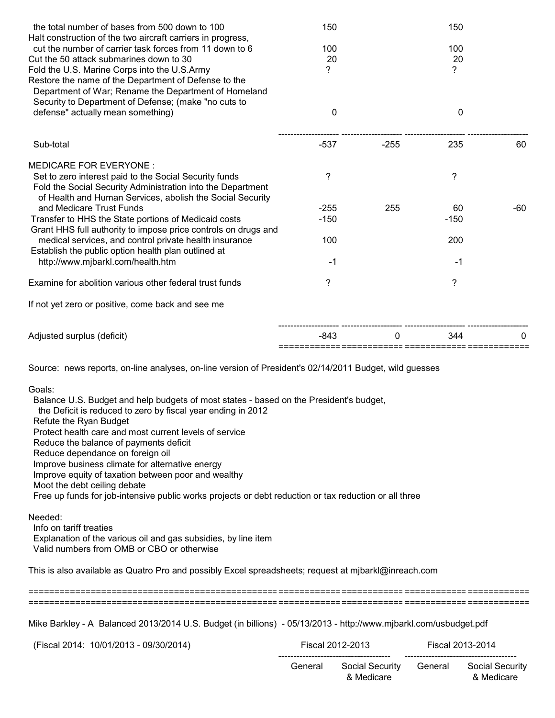| 150         |                                         | 150           |                                      |
|-------------|-----------------------------------------|---------------|--------------------------------------|
|             |                                         |               |                                      |
|             |                                         |               |                                      |
|             |                                         |               |                                      |
|             |                                         |               |                                      |
|             |                                         |               |                                      |
|             |                                         |               |                                      |
| $\mathbf 0$ |                                         | 0             |                                      |
|             |                                         |               |                                      |
|             |                                         |               | 60                                   |
|             |                                         |               |                                      |
| ?           |                                         | ?             |                                      |
|             |                                         |               |                                      |
|             |                                         |               |                                      |
| $-255$      |                                         | 60            | -60                                  |
| $-150$      |                                         | $-150$        |                                      |
|             |                                         |               |                                      |
|             |                                         |               |                                      |
|             |                                         |               |                                      |
|             |                                         |               |                                      |
| ?           |                                         | ?             |                                      |
|             |                                         |               |                                      |
| -843        | 0                                       | 344           |                                      |
|             | 100<br>20<br>?<br>$-537$<br>100<br>$-1$ | $-255$<br>255 | 100<br>20<br>?<br>235<br>200<br>$-1$ |

Goals:

 Balance U.S. Budget and help budgets of most states - based on the President's budget, the Deficit is reduced to zero by fiscal year ending in 2012 Refute the Ryan Budget Protect health care and most current levels of service Reduce the balance of payments deficit Reduce dependance on foreign oil Improve business climate for alternative energy Improve equity of taxation between poor and wealthy Moot the debt ceiling debate Free up funds for job-intensive public works projects or debt reduction or tax reduction or all three

Needed:

 Info on tariff treaties Explanation of the various oil and gas subsidies, by line item Valid numbers from OMB or CBO or otherwise

This is also available as Quatro Pro and possibly Excel spreadsheets; request at mjbarkl@inreach.com

================================================================================================ ================================================================================================

Mike Barkley - A Balanced 2013/2014 U.S. Budget (in billions) - 05/13/2013 - http://www.mjbarkl.com/usbudget.pdf

 (Fiscal 2014: 10/01/2013 - 09/30/2014) Fiscal 2012-2013 Fiscal 2013-2014 ------------------------------------- ------------------------------------- General Social Security General Social Security & Medicare & Medicare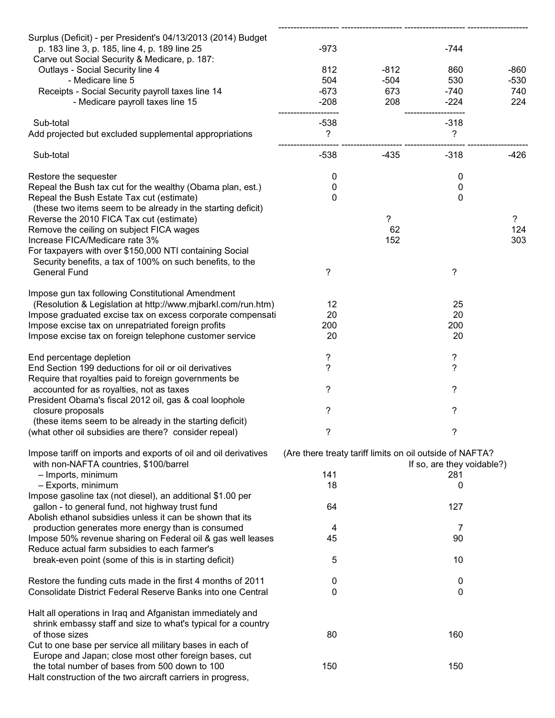| Surplus (Deficit) - per President's 04/13/2013 (2014) Budget<br>p. 183 line 3, p. 185, line 4, p. 189 line 25 | $-973$                                                                                 |        | $-744$         |                       |
|---------------------------------------------------------------------------------------------------------------|----------------------------------------------------------------------------------------|--------|----------------|-----------------------|
| Carve out Social Security & Medicare, p. 187:                                                                 |                                                                                        |        |                |                       |
| Outlays - Social Security line 4                                                                              | 812                                                                                    | $-812$ | 860            | $-860$                |
| - Medicare line 5                                                                                             | 504                                                                                    | $-504$ | 530            | $-530$                |
| Receipts - Social Security payroll taxes line 14                                                              | $-673$                                                                                 | 673    | $-740$         | 740                   |
| - Medicare payroll taxes line 15                                                                              | $-208$                                                                                 | 208    | $-224$         | 224                   |
| Sub-total                                                                                                     | $-538$                                                                                 |        | $-318$         |                       |
| Add projected but excluded supplemental appropriations                                                        | ?                                                                                      |        | $\tilde{?}$    |                       |
| Sub-total                                                                                                     | $-538$                                                                                 | $-435$ | $-318$         | $-426$                |
| Restore the sequester                                                                                         | 0                                                                                      |        | 0              |                       |
| Repeal the Bush tax cut for the wealthy (Obama plan, est.)                                                    | 0                                                                                      |        | 0              |                       |
| Repeal the Bush Estate Tax cut (estimate)                                                                     | 0                                                                                      |        | $\mathbf 0$    |                       |
| (these two items seem to be already in the starting deficit)                                                  |                                                                                        | 2      |                |                       |
| Reverse the 2010 FICA Tax cut (estimate)<br>Remove the ceiling on subject FICA wages                          |                                                                                        | 62     |                | $\overline{?}$<br>124 |
| Increase FICA/Medicare rate 3%                                                                                |                                                                                        | 152    |                | 303                   |
| For taxpayers with over \$150,000 NTI containing Social                                                       |                                                                                        |        |                |                       |
| Security benefits, a tax of 100% on such benefits, to the                                                     |                                                                                        |        |                |                       |
| <b>General Fund</b>                                                                                           | ?                                                                                      |        | ?              |                       |
| Impose gun tax following Constitutional Amendment                                                             |                                                                                        |        |                |                       |
| (Resolution & Legislation at http://www.mjbarkl.com/run.htm)                                                  | 12                                                                                     |        | 25             |                       |
| Impose graduated excise tax on excess corporate compensati                                                    | 20                                                                                     |        | 20             |                       |
| Impose excise tax on unrepatriated foreign profits                                                            | 200                                                                                    |        | 200            |                       |
| Impose excise tax on foreign telephone customer service                                                       | 20                                                                                     |        | 20             |                       |
| End percentage depletion                                                                                      | ?                                                                                      |        | ?              |                       |
| End Section 199 deductions for oil or oil derivatives                                                         | ?                                                                                      |        | $\overline{?}$ |                       |
| Require that royalties paid to foreign governments be                                                         | ?                                                                                      |        | ?              |                       |
| accounted for as royalties, not as taxes<br>President Obama's fiscal 2012 oil, gas & coal loophole            |                                                                                        |        |                |                       |
| closure proposals                                                                                             | ?                                                                                      |        | ?              |                       |
| (these items seem to be already in the starting deficit)                                                      |                                                                                        |        |                |                       |
| (what other oil subsidies are there? consider repeal)                                                         |                                                                                        |        |                |                       |
| Impose tariff on imports and exports of oil and oil derivatives                                               | (Are there treaty tariff limits on oil outside of NAFTA?<br>If so, are they voidable?) |        |                |                       |
| with non-NAFTA countries, \$100/barrel<br>- Imports, minimum                                                  | 141                                                                                    |        | 281            |                       |
| - Exports, minimum                                                                                            | 18                                                                                     |        | 0              |                       |
| Impose gasoline tax (not diesel), an additional \$1.00 per                                                    |                                                                                        |        |                |                       |
| gallon - to general fund, not highway trust fund                                                              | 64                                                                                     |        | 127            |                       |
| Abolish ethanol subsidies unless it can be shown that its                                                     |                                                                                        |        |                |                       |
| production generates more energy than is consumed                                                             | 4                                                                                      |        | 7              |                       |
| Impose 50% revenue sharing on Federal oil & gas well leases                                                   | 45                                                                                     |        | 90             |                       |
| Reduce actual farm subsidies to each farmer's                                                                 |                                                                                        |        |                |                       |
| break-even point (some of this is in starting deficit)                                                        | 5                                                                                      |        | 10             |                       |
| Restore the funding cuts made in the first 4 months of 2011                                                   | 0                                                                                      |        | 0              |                       |
| Consolidate District Federal Reserve Banks into one Central                                                   | 0                                                                                      |        | 0              |                       |
| Halt all operations in Iraq and Afganistan immediately and                                                    |                                                                                        |        |                |                       |
| shrink embassy staff and size to what's typical for a country                                                 |                                                                                        |        |                |                       |
| of those sizes                                                                                                | 80                                                                                     |        | 160            |                       |
| Cut to one base per service all military bases in each of                                                     |                                                                                        |        |                |                       |
| Europe and Japan; close most other foreign bases, cut<br>the total number of bases from 500 down to 100       | 150                                                                                    |        | 150            |                       |
| Halt construction of the two aircraft carriers in progress,                                                   |                                                                                        |        |                |                       |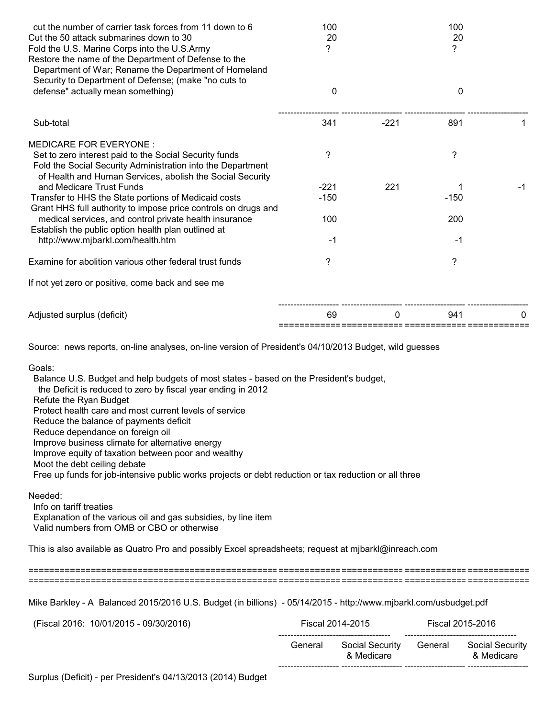| cut the number of carrier task forces from 11 down to 6<br>Cut the 50 attack submarines down to 30<br>Fold the U.S. Marine Corps into the U.S.Army<br>Restore the name of the Department of Defense to the<br>Department of War; Rename the Department of Homeland                                                                                                                                                                                                                                                                                                                                                                                                                                                                                                                                                                                    | 100<br>20<br>? |                                      | 100<br>20<br>? |                                      |
|-------------------------------------------------------------------------------------------------------------------------------------------------------------------------------------------------------------------------------------------------------------------------------------------------------------------------------------------------------------------------------------------------------------------------------------------------------------------------------------------------------------------------------------------------------------------------------------------------------------------------------------------------------------------------------------------------------------------------------------------------------------------------------------------------------------------------------------------------------|----------------|--------------------------------------|----------------|--------------------------------------|
| Security to Department of Defense; (make "no cuts to<br>defense" actually mean something)                                                                                                                                                                                                                                                                                                                                                                                                                                                                                                                                                                                                                                                                                                                                                             | 0              |                                      |                | $\mathbf 0$                          |
| Sub-total                                                                                                                                                                                                                                                                                                                                                                                                                                                                                                                                                                                                                                                                                                                                                                                                                                             | 341            | $-221$                               | 891            | 1                                    |
| <b>MEDICARE FOR EVERYONE:</b><br>Set to zero interest paid to the Social Security funds<br>Fold the Social Security Administration into the Department<br>of Health and Human Services, abolish the Social Security                                                                                                                                                                                                                                                                                                                                                                                                                                                                                                                                                                                                                                   | ?              |                                      | ?              |                                      |
| and Medicare Trust Funds                                                                                                                                                                                                                                                                                                                                                                                                                                                                                                                                                                                                                                                                                                                                                                                                                              | $-221$         | 221                                  |                | $-1$                                 |
| Transfer to HHS the State portions of Medicaid costs                                                                                                                                                                                                                                                                                                                                                                                                                                                                                                                                                                                                                                                                                                                                                                                                  | $-150$         |                                      | $-150$         |                                      |
| Grant HHS full authority to impose price controls on drugs and<br>medical services, and control private health insurance                                                                                                                                                                                                                                                                                                                                                                                                                                                                                                                                                                                                                                                                                                                              | 100            |                                      | 200            |                                      |
| Establish the public option health plan outlined at<br>http://www.mjbarkl.com/health.htm                                                                                                                                                                                                                                                                                                                                                                                                                                                                                                                                                                                                                                                                                                                                                              | $-1$           |                                      | -1             |                                      |
|                                                                                                                                                                                                                                                                                                                                                                                                                                                                                                                                                                                                                                                                                                                                                                                                                                                       |                |                                      |                |                                      |
| Examine for abolition various other federal trust funds<br>If not yet zero or positive, come back and see me                                                                                                                                                                                                                                                                                                                                                                                                                                                                                                                                                                                                                                                                                                                                          | ?              |                                      | ?              |                                      |
|                                                                                                                                                                                                                                                                                                                                                                                                                                                                                                                                                                                                                                                                                                                                                                                                                                                       |                |                                      |                |                                      |
| Adjusted surplus (deficit)                                                                                                                                                                                                                                                                                                                                                                                                                                                                                                                                                                                                                                                                                                                                                                                                                            | 69             | 0<br>====== ============= ========== | 941            | 0                                    |
| Source: news reports, on-line analyses, on-line version of President's 04/10/2013 Budget, wild guesses<br>Goals:<br>Balance U.S. Budget and help budgets of most states - based on the President's budget,<br>the Deficit is reduced to zero by fiscal year ending in 2012<br>Refute the Ryan Budget<br>Protect health care and most current levels of service<br>Reduce the balance of payments deficit<br>Reduce dependance on foreign oil<br>Improve business climate for alternative energy<br>Improve equity of taxation between poor and wealthy<br>Moot the debt ceiling debate<br>Free up funds for job-intensive public works projects or debt reduction or tax reduction or all three<br>Needed:<br>Info on tariff treaties<br>Explanation of the various oil and gas subsidies, by line item<br>Valid numbers from OMB or CBO or otherwise |                |                                      |                |                                      |
| This is also available as Quatro Pro and possibly Excel spreadsheets; request at mjbarkl@inreach.com                                                                                                                                                                                                                                                                                                                                                                                                                                                                                                                                                                                                                                                                                                                                                  |                |                                      |                |                                      |
|                                                                                                                                                                                                                                                                                                                                                                                                                                                                                                                                                                                                                                                                                                                                                                                                                                                       |                |                                      |                |                                      |
| Mike Barkley - A Balanced 2015/2016 U.S. Budget (in billions) - 05/14/2015 - http://www.mjbarkl.com/usbudget.pdf                                                                                                                                                                                                                                                                                                                                                                                                                                                                                                                                                                                                                                                                                                                                      |                |                                      |                |                                      |
| (Fiscal 2016: 10/01/2015 - 09/30/2016)                                                                                                                                                                                                                                                                                                                                                                                                                                                                                                                                                                                                                                                                                                                                                                                                                |                | Fiscal 2014-2015                     |                | Fiscal 2015-2016                     |
|                                                                                                                                                                                                                                                                                                                                                                                                                                                                                                                                                                                                                                                                                                                                                                                                                                                       | General        | Social Security<br>& Medicare        | General        | <b>Social Security</b><br>& Medicare |

-------------------- -------------------- -------------------- --------------------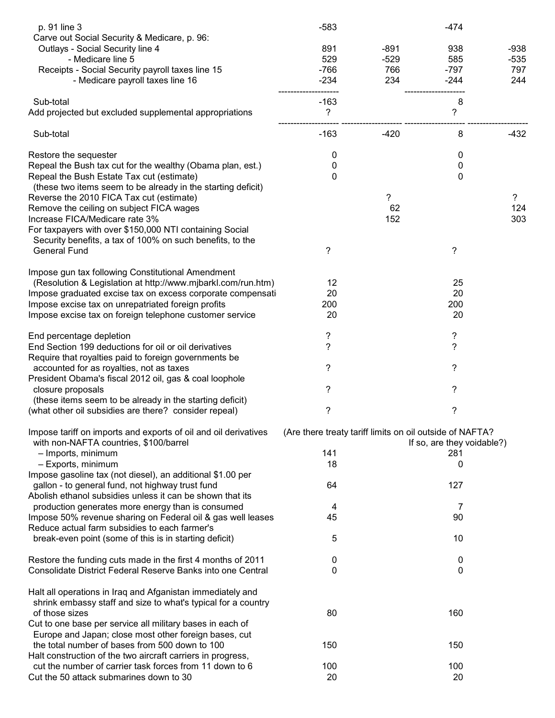| p. 91 line 3<br>Carve out Social Security & Medicare, p. 96:    | $-583$                                                   |        | $-474$                     |                |
|-----------------------------------------------------------------|----------------------------------------------------------|--------|----------------------------|----------------|
| Outlays - Social Security line 4                                | 891                                                      | $-891$ | 938                        | $-938$         |
|                                                                 |                                                          |        |                            |                |
| - Medicare line 5                                               | 529                                                      | $-529$ | 585                        | $-535$         |
| Receipts - Social Security payroll taxes line 15                | $-766$                                                   | 766    | $-797$                     | 797            |
| - Medicare payroll taxes line 16                                | $-234$                                                   | 234    | $-244$                     | 244            |
| Sub-total                                                       | $-163$                                                   |        | 8                          |                |
| Add projected but excluded supplemental appropriations          | ?                                                        |        | $\tilde{?}$                |                |
| Sub-total                                                       | $-163$                                                   | $-420$ | 8                          | $-432$         |
| Restore the sequester                                           | 0                                                        |        | 0                          |                |
| Repeal the Bush tax cut for the wealthy (Obama plan, est.)      | 0                                                        |        | $\pmb{0}$                  |                |
| Repeal the Bush Estate Tax cut (estimate)                       | 0                                                        |        | $\mathbf 0$                |                |
| (these two items seem to be already in the starting deficit)    |                                                          |        |                            |                |
| Reverse the 2010 FICA Tax cut (estimate)                        |                                                          | ?      |                            | $\overline{?}$ |
| Remove the ceiling on subject FICA wages                        |                                                          | 62     |                            | 124            |
| Increase FICA/Medicare rate 3%                                  |                                                          | 152    |                            | 303            |
|                                                                 |                                                          |        |                            |                |
| For taxpayers with over \$150,000 NTI containing Social         |                                                          |        |                            |                |
| Security benefits, a tax of 100% on such benefits, to the       |                                                          |        |                            |                |
| <b>General Fund</b>                                             | ?                                                        |        | ?                          |                |
| Impose gun tax following Constitutional Amendment               |                                                          |        |                            |                |
| (Resolution & Legislation at http://www.mjbarkl.com/run.htm)    | 12                                                       |        | 25                         |                |
| Impose graduated excise tax on excess corporate compensati      | 20                                                       |        | 20                         |                |
| Impose excise tax on unrepatriated foreign profits              | 200                                                      |        | 200                        |                |
| Impose excise tax on foreign telephone customer service         | 20                                                       |        | 20                         |                |
| End percentage depletion                                        | ?                                                        |        | ?                          |                |
| End Section 199 deductions for oil or oil derivatives           | ?                                                        |        | $\overline{\phantom{0}}$   |                |
|                                                                 |                                                          |        |                            |                |
| Require that royalties paid to foreign governments be           |                                                          |        |                            |                |
| accounted for as royalties, not as taxes                        | ?                                                        |        | ?                          |                |
| President Obama's fiscal 2012 oil, gas & coal loophole          |                                                          |        |                            |                |
| closure proposals                                               | ?                                                        |        | ?                          |                |
| (these items seem to be already in the starting deficit)        |                                                          |        |                            |                |
| (what other oil subsidies are there? consider repeal)           | ?                                                        |        | ?                          |                |
| Impose tariff on imports and exports of oil and oil derivatives | (Are there treaty tariff limits on oil outside of NAFTA? |        |                            |                |
| with non-NAFTA countries, \$100/barrel                          |                                                          |        | If so, are they voidable?) |                |
| - Imports, minimum                                              | 141                                                      |        | 281                        |                |
| - Exports, minimum                                              | 18                                                       |        | 0                          |                |
| Impose gasoline tax (not diesel), an additional \$1.00 per      |                                                          |        |                            |                |
|                                                                 |                                                          |        | 127                        |                |
| gallon - to general fund, not highway trust fund                | 64                                                       |        |                            |                |
| Abolish ethanol subsidies unless it can be shown that its       |                                                          |        |                            |                |
| production generates more energy than is consumed               | 4                                                        |        | 7                          |                |
| Impose 50% revenue sharing on Federal oil & gas well leases     | 45                                                       |        | 90                         |                |
| Reduce actual farm subsidies to each farmer's                   |                                                          |        |                            |                |
| break-even point (some of this is in starting deficit)          | 5                                                        |        | 10                         |                |
| Restore the funding cuts made in the first 4 months of 2011     | 0                                                        |        | 0                          |                |
| Consolidate District Federal Reserve Banks into one Central     | 0                                                        |        | $\mathbf{0}$               |                |
|                                                                 |                                                          |        |                            |                |
| Halt all operations in Iraq and Afganistan immediately and      |                                                          |        |                            |                |
| shrink embassy staff and size to what's typical for a country   |                                                          |        |                            |                |
| of those sizes                                                  | 80                                                       |        | 160                        |                |
|                                                                 |                                                          |        |                            |                |
| Cut to one base per service all military bases in each of       |                                                          |        |                            |                |
| Europe and Japan; close most other foreign bases, cut           |                                                          |        |                            |                |
| the total number of bases from 500 down to 100                  | 150                                                      |        | 150                        |                |
| Halt construction of the two aircraft carriers in progress,     |                                                          |        |                            |                |
| cut the number of carrier task forces from 11 down to 6         | 100                                                      |        | 100                        |                |
| Cut the 50 attack submarines down to 30                         | 20                                                       |        | 20                         |                |
|                                                                 |                                                          |        |                            |                |